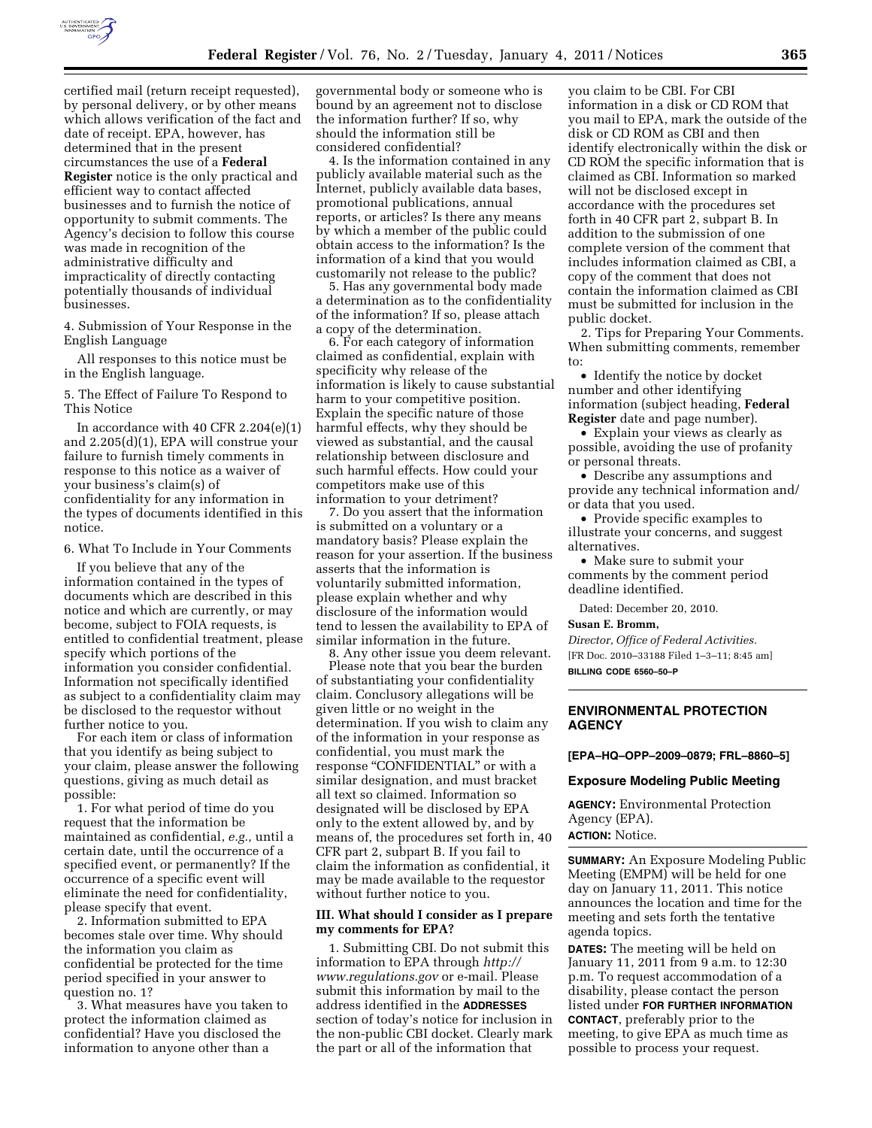

certified mail (return receipt requested), by personal delivery, or by other means which allows verification of the fact and date of receipt. EPA, however, has determined that in the present circumstances the use of a **Federal Register** notice is the only practical and efficient way to contact affected businesses and to furnish the notice of opportunity to submit comments. The Agency's decision to follow this course was made in recognition of the administrative difficulty and impracticality of directly contacting potentially thousands of individual businesses.

4. Submission of Your Response in the English Language

All responses to this notice must be in the English language.

5. The Effect of Failure To Respond to This Notice

In accordance with 40 CFR 2.204(e)(1) and 2.205(d)(1), EPA will construe your failure to furnish timely comments in response to this notice as a waiver of your business's claim(s) of confidentiality for any information in the types of documents identified in this notice.

6. What To Include in Your Comments

If you believe that any of the information contained in the types of documents which are described in this notice and which are currently, or may become, subject to FOIA requests, is entitled to confidential treatment, please specify which portions of the information you consider confidential. Information not specifically identified as subject to a confidentiality claim may be disclosed to the requestor without further notice to you.

For each item or class of information that you identify as being subject to your claim, please answer the following questions, giving as much detail as possible:

1. For what period of time do you request that the information be maintained as confidential, *e.g.,* until a certain date, until the occurrence of a specified event, or permanently? If the occurrence of a specific event will eliminate the need for confidentiality, please specify that event.

2. Information submitted to EPA becomes stale over time. Why should the information you claim as confidential be protected for the time period specified in your answer to question no. 1?

3. What measures have you taken to protect the information claimed as confidential? Have you disclosed the information to anyone other than a

governmental body or someone who is bound by an agreement not to disclose the information further? If so, why should the information still be considered confidential?

4. Is the information contained in any publicly available material such as the Internet, publicly available data bases, promotional publications, annual reports, or articles? Is there any means by which a member of the public could obtain access to the information? Is the information of a kind that you would customarily not release to the public?

5. Has any governmental body made a determination as to the confidentiality of the information? If so, please attach a copy of the determination.

6. For each category of information claimed as confidential, explain with specificity why release of the information is likely to cause substantial harm to your competitive position. Explain the specific nature of those harmful effects, why they should be viewed as substantial, and the causal relationship between disclosure and such harmful effects. How could your competitors make use of this information to your detriment?

7. Do you assert that the information is submitted on a voluntary or a mandatory basis? Please explain the reason for your assertion. If the business asserts that the information is voluntarily submitted information, please explain whether and why disclosure of the information would tend to lessen the availability to EPA of similar information in the future.

8. Any other issue you deem relevant. Please note that you bear the burden of substantiating your confidentiality claim. Conclusory allegations will be given little or no weight in the determination. If you wish to claim any of the information in your response as confidential, you must mark the response "CONFIDENTIAL" or with a similar designation, and must bracket all text so claimed. Information so designated will be disclosed by EPA only to the extent allowed by, and by means of, the procedures set forth in, 40 CFR part 2, subpart B. If you fail to claim the information as confidential, it may be made available to the requestor without further notice to you.

#### **III. What should I consider as I prepare my comments for EPA?**

1. Submitting CBI. Do not submit this information to EPA through *[http://](http://www.regulations.gov)  [www.regulations.gov](http://www.regulations.gov)* or e-mail. Please submit this information by mail to the address identified in the **ADDRESSES** section of today's notice for inclusion in the non-public CBI docket. Clearly mark the part or all of the information that

you claim to be CBI. For CBI information in a disk or CD ROM that you mail to EPA, mark the outside of the disk or CD ROM as CBI and then identify electronically within the disk or CD ROM the specific information that is claimed as CBI. Information so marked will not be disclosed except in accordance with the procedures set forth in 40 CFR part 2, subpart B. In addition to the submission of one complete version of the comment that includes information claimed as CBI, a copy of the comment that does not contain the information claimed as CBI must be submitted for inclusion in the public docket.

2. Tips for Preparing Your Comments. When submitting comments, remember to:

• Identify the notice by docket number and other identifying information (subject heading, **Federal Register** date and page number).

• Explain your views as clearly as possible, avoiding the use of profanity or personal threats.

• Describe any assumptions and provide any technical information and/ or data that you used.

• Provide specific examples to illustrate your concerns, and suggest alternatives.

• Make sure to submit your comments by the comment period deadline identified.

Dated: December 20, 2010.

#### **Susan E. Bromm,**

*Director, Office of Federal Activities.*  [FR Doc. 2010–33188 Filed 1–3–11; 8:45 am] **BILLING CODE 6560–50–P** 

### **ENVIRONMENTAL PROTECTION AGENCY**

**[EPA–HQ–OPP–2009–0879; FRL–8860–5]** 

#### **Exposure Modeling Public Meeting**

**AGENCY:** Environmental Protection Agency (EPA).

## **ACTION:** Notice.

**SUMMARY:** An Exposure Modeling Public Meeting (EMPM) will be held for one day on January 11, 2011. This notice announces the location and time for the meeting and sets forth the tentative agenda topics.

**DATES:** The meeting will be held on January 11, 2011 from 9 a.m. to 12:30 p.m. To request accommodation of a disability, please contact the person listed under **FOR FURTHER INFORMATION CONTACT**, preferably prior to the meeting, to give EPA as much time as possible to process your request.